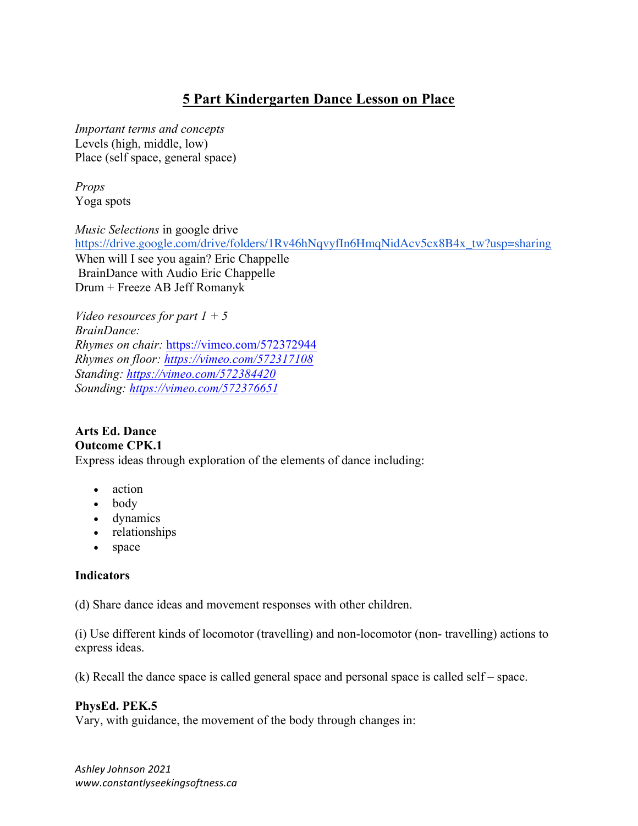# **5 Part Kindergarten Dance Lesson on Place**

*Important terms and concepts*  Levels (high, middle, low) Place (self space, general space)

*Props*  Yoga spots

*Music Selections* in google drive https://drive.google.com/drive/folders/1Rv46hNqvyfIn6HmqNidAcv5cx8B4x\_tw?usp=sharing When will I see you again? Eric Chappelle BrainDance with Audio Eric Chappelle Drum + Freeze AB Jeff Romanyk

*Video resources for part 1 + 5 BrainDance: Rhymes on chair:* https://vimeo.com/572372944 *Rhymes on floor: https://vimeo.com/572317108 Standing: https://vimeo.com/572384420 Sounding: https://vimeo.com/572376651*

#### **Arts Ed. Dance Outcome CPK.1**

Express ideas through exploration of the elements of dance including:

- action
- body
- dynamics
- relationships
- space

# **Indicators**

(d) Share dance ideas and movement responses with other children.

(i) Use different kinds of locomotor (travelling) and non-locomotor (non- travelling) actions to express ideas.

(k) Recall the dance space is called general space and personal space is called self – space.

# **PhysEd. PEK.5**

Vary, with guidance, the movement of the body through changes in:

*Ashley Johnson 2021 www.constantlyseekingsoftness.ca*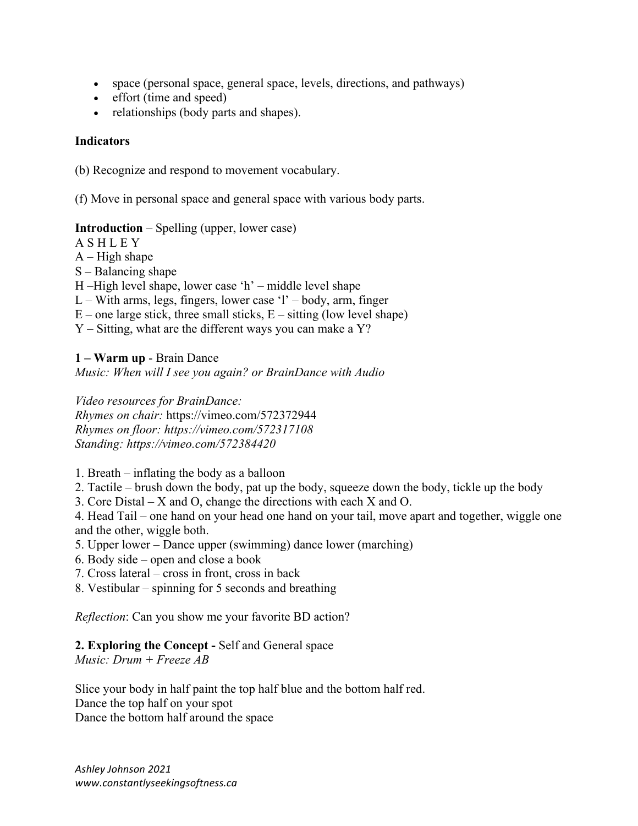- space (personal space, general space, levels, directions, and pathways)
- effort (time and speed)
- relationships (body parts and shapes).

### **Indicators**

(b) Recognize and respond to movement vocabulary.

(f) Move in personal space and general space with various body parts.

### **Introduction** – Spelling (upper, lower case)

A S H L E Y

 $A$  – High shape

S – Balancing shape

H –High level shape, lower case 'h' – middle level shape

 $L - With arms, legs, fingers, lower case 'l' - body, arm, finger$ 

 $E$  – one large stick, three small sticks,  $E$  – sitting (low level shape)

Y – Sitting, what are the different ways you can make a Y?

#### **1 – Warm up** - Brain Dance

*Music: When will I see you again? or BrainDance with Audio* 

*Video resources for BrainDance: Rhymes on chair:* https://vimeo.com/572372944 *Rhymes on floor: https://vimeo.com/572317108 Standing: https://vimeo.com/572384420*

- 1. Breath inflating the body as a balloon
- 2. Tactile brush down the body, pat up the body, squeeze down the body, tickle up the body
- 3. Core Distal X and O, change the directions with each X and O.

4. Head Tail – one hand on your head one hand on your tail, move apart and together, wiggle one and the other, wiggle both.

- 5. Upper lower Dance upper (swimming) dance lower (marching)
- 6. Body side open and close a book
- 7. Cross lateral cross in front, cross in back
- 8. Vestibular spinning for 5 seconds and breathing

*Reflection*: Can you show me your favorite BD action?

### **2. Exploring the Concept -** Self and General space

*Music: Drum + Freeze AB* 

Slice your body in half paint the top half blue and the bottom half red. Dance the top half on your spot Dance the bottom half around the space